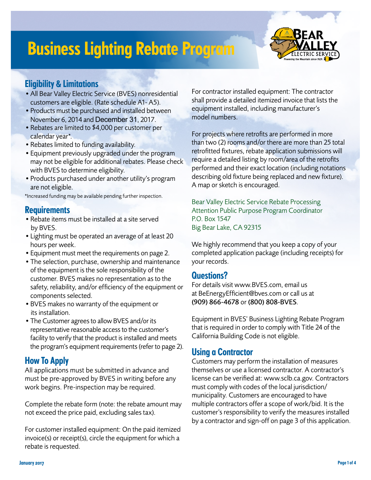# Business Lighting Rebate Program



### Eligibility & Limitations

- •All Bear Valley Electric Service (BVES) nonresidential customers are eligible. (Rate schedule A1- A5).
- •Products must be purchased and installed between November 6, 2014 and December 31, 2017.
- •Rebates are limited to \$4,000 per customer per calendar year\*.
- •Rebates limited to funding availability.
- •Equipment previously upgraded under the program may not be eligible for additional rebates. Please check with BVES to determine eligibility.
- Products purchased under another utility's program are not eligible.

\*Increased funding may be available pending further inspection.

### **Requirements**

- •Rebate items must be installed at a site served by BVES.
- •Lighting must be operated an average of at least 20 hours per week.
- •Equipment must meet the requirements on page 2.
- •The selection, purchase, ownership and maintenance of the equipment is the sole responsibility of the customer. BVES makes no representation as to the safety, reliability, and/or efficiency of the equipment or components selected.
- •BVES makes no warranty of the equipment or its installation.
- •The Customer agrees to allow BVES and/or its representative reasonable access to the customer's facility to verify that the product is installed and meets the program's equipment requirements (refer to page 2).

### How To Apply

All applications must be submitted in advance and must be pre-approved by BVES in writing before any work begins. Pre-inspection may be required.

Complete the rebate form (note: the rebate amount may not exceed the price paid, excluding sales tax).

For customer installed equipment: On the paid itemized invoice(s) or receipt(s), circle the equipment for which a rebate is requested.

For contractor installed equipment: The contractor shall provide a detailed itemized invoice that lists the equipment installed, including manufacturer's model numbers.

For projects where retrofits are performed in more than two (2) rooms and/or there are more than 25 total retrofitted fixtures, rebate application submissions will require a detailed listing by room/area of the retrofits performed and their exact location (including notations describing old fixture being replaced and new fixture). A map or sketch is encouraged.

Bear Valley Electric Service Rebate Processing Attention Public Purpose Program Coordinator P.O. Box 1547 Big Bear Lake, CA 92315

We highly recommend that you keep a copy of your completed application package (including receipts) for your records.

### Questions?

For details visit www.BVES.com, email us at BeEnergyEfficient@bves.com or call us at (909) 866-4678 or (800) 808-BVES.

Equipment in BVES' Business Lighting Rebate Program that is required in order to comply with Title 24 of the California Building Code is not eligible.

### Using a Contractor

Customers may perform the installation of measures themselves or use a licensed contractor. A contractor's license can be verified at: www.sclb.ca.gov. Contractors must comply with codes of the local jurisdiction/ municipality. Customers are encouraged to have multiple contractors offer a scope of work/bid. It is the customer's responsibility to verify the measures installed by a contractor and sign-off on page 3 of this application.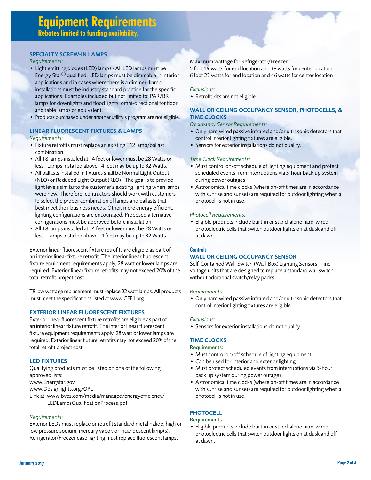#### SPECIALTY SCREW-IN LAMPS

#### *Requirements*:

- Light emitting diodes (LED) lamps All LED lamps must be Energy Star® qualified. LED lamps must be dimmable in interior applications and in cases where there is a dimmer. Lamp installations must be industry standard practice for the specific applications. Examples included but not limited to: PAR/BR lamps for downlights and flood lights, omni-directional for floor and table lamps or equivalent.
- Products purchased under another utility's program are not eligible.

#### LINEAR FLUORESCENT FIXTURES & LAMPS

#### *Requirements*:

- Fixture retrofits must replace an existing T12 lamp/ballast combination.
- All T8 lamps installed at 14 feet or lower must be 28 Watts or less. Lamps installed above 14 feet may be up to 32 Watts.
- All ballasts installed in fixtures shall be Normal Light Output (NLO) or Reduced Light Output (RLO) –The goal is to provide light levels similar to the customer's existing lighting when lamps were new. Therefore, contractors should work with customers to select the proper combination of lamps and ballasts that best meet their business needs. Other, more energy efficient, lighting configurations are encouraged. Proposed alternative configurations must be approved before installation.
- All T8 lamps installed at 14 feet or lower must be 28 Watts or less. Lamps installed above 14 feet may be up to 32 Watts.

Exterior linear fluorescent fixture retrofits are eligible as part of an interior linear fixture retrofit. The interior linear fluorescent fixture equipment requirements apply, 28 watt or lower lamps are required. Exterior linear fixture retrofits may not exceed 20% of the total retrofit project cost.

T8 low wattage replacement must replace 32 watt lamps. All products must meet the specifications listed at www.CEE1.org.

#### EXTERIOR LINEAR FLUORESCENT FIXTURES

Exterior linear fluorescent fixture retrofits are eligible as part of an interior linear fixture retrofit. The interior linear fluorescent fixture equipment requirements apply, 28 watt or lower lamps are required. Exterior linear fixture retrofits may not exceed 20% of the total retrofit project cost.

#### LED FIXTURES

Qualifying products must be listed on one of the following approved lists: www.Energstar.gov www.Designlights.org/QPL

Link at: www.bves.com/media/managed/energyefficiency/ LEDLampsQualificationProcess.pdf

#### *Requirements*:

Exterior LEDs must replace or retrofit standard metal halide, high or low pressure sodium, mercury vapor, or incandescent lamp(s). Refrigerator/Freezer case lighting must replace fluorescent lamps.

#### Maximum wattage for Refrigerator/Freezer :

5 foot 19 watts for end location and 38 watts for center location 6 foot 23 watts for end location and 46 watts for center location

#### *Exclusions:*

• Retrofit kits are not eligible.

#### WALL OR CEILING OCCUPANCY SENSOR, PHOTOCELLS, & TIME CLOCKS

*Occupancy Sensor Requirements:*

- Only hard wired passive infrared and/or ultrasonic detectors that control interior lighting fixtures are eligible.
- Sensors for exterior installations do not qualify.

#### *Time Clock Requirements:*

- Must control on/off schedule of lighting equipment and protect scheduled events from interruptions via 3-hour back up system during power outages.
- Astronomical time clocks (where on-off times are in accordance with sunrise and sunset) are required for outdoor lighting when a photocell is not in use.

#### *Photocell Requirements:*

• Eligible products include built-in or stand-alone hard-wired photoelectric cells that switch outdoor lights on at dusk and off at dawn.

#### **Controls**

#### WALL OR CEILING OCCUPANCY SENSOR

Self-Contained Wall-Switch (Wall-Box) Lighting Sensors – line voltage units that are designed to replace a standard wall switch without additional switch/relay packs.

#### *Requirements*:

• Only hard wired passive infrared and/or ultrasonic detectors that control interior lighting fixtures are eligible.

#### *Exclusions*:

• Sensors for exterior installations do not qualify.

#### TIME CLOCKS

#### Requirements:

- Must control on/off schedule of lighting equipment.
- Can be used for interior and exterior lighting.
- Must protect scheduled events from interruptions via 3-hour back up system during power outages.
- Astronomical time clocks (where on-off times are in accordance with sunrise and sunset) are required for outdoor lighting when a photocell is not in use.

#### **PHOTOCELL**

#### Requirements:

• Eligible products include built-in or stand-alone hard-wired photoelectric cells that switch outdoor lights on at dusk and off at dawn.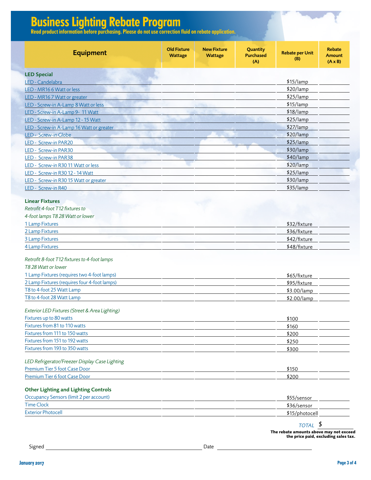## Business Lighting Rebate Program

Read product information before purchasing. Please do not use correction fluid on rebate application.

| <b>Equipment</b>                                                          | <b>Old Fixture</b><br><b>Wattage</b> | <b>New Fixture</b><br><b>Wattage</b> | Quantity<br><b>Purchased</b><br>(A) | <b>Rebate per Unit</b><br>(B) | <b>Rebate</b><br><b>Amount</b><br>$(A \times B)$ |
|---------------------------------------------------------------------------|--------------------------------------|--------------------------------------|-------------------------------------|-------------------------------|--------------------------------------------------|
| <b>LED Special</b>                                                        |                                      |                                      |                                     |                               |                                                  |
| LED - Candelabra                                                          |                                      |                                      |                                     | \$15/lamp                     |                                                  |
| LED - MR16 6 Watt or less                                                 |                                      |                                      |                                     | \$20/lamp                     |                                                  |
| LED - MR167 Watt or greater                                               |                                      |                                      |                                     | \$25/lamp                     |                                                  |
| LED - Screw-in A-Lamp 8 Watt or less                                      |                                      |                                      |                                     | \$15/lamp                     |                                                  |
| LED - Screw-in A-Lamp 9- 11 Watt                                          |                                      |                                      |                                     | $$18/$ lamp                   |                                                  |
| LED - Screw-in A-Lamp 12 - 15 Watt                                        |                                      |                                      |                                     | \$25/lamp                     |                                                  |
| LED - Screw-in A-Lamp 16 Watt or greater                                  |                                      |                                      |                                     | \$27/lamp                     |                                                  |
| LED - Screw-in Globe                                                      |                                      |                                      |                                     | \$20/lamp                     |                                                  |
| LED - Screw-in PAR20                                                      |                                      |                                      |                                     | $$25/$ lamp                   |                                                  |
| LED - Screw-in PAR30                                                      |                                      |                                      |                                     | \$30/lamp                     |                                                  |
| LED - Screw-in PAR38                                                      |                                      |                                      |                                     | $$40/$ lamp                   |                                                  |
| LED - Screw-in R30 11 Watt or less                                        |                                      |                                      |                                     | \$20/lamp                     |                                                  |
| LED - Screw-in R30 12 - 14 Watt                                           |                                      |                                      |                                     | \$25/lamp                     |                                                  |
| LED - Screw-in R30 15 Watt or greater                                     |                                      |                                      |                                     | \$30/lamp                     |                                                  |
| LED - Screw-in R40                                                        |                                      |                                      |                                     | \$35/lamp                     |                                                  |
| <b>Linear Fixtures</b>                                                    |                                      |                                      |                                     |                               |                                                  |
| Retrofit 4-foot T12 fixtures to                                           |                                      |                                      |                                     |                               |                                                  |
| 4-foot lamps T8 28 Watt or lower                                          |                                      |                                      |                                     |                               |                                                  |
| 1 Lamp Fixtures                                                           |                                      |                                      |                                     | \$32/fixture                  |                                                  |
| 2 Lamp Fixtures                                                           |                                      |                                      |                                     | \$36/fixture                  |                                                  |
| 3 Lamp Fixtures                                                           |                                      |                                      |                                     | \$42/fixture                  |                                                  |
| <b>4 Lamp Fixtures</b>                                                    |                                      |                                      |                                     | \$48/fixture                  |                                                  |
| Retrofit 8-foot T12 fixtures to 4-foot lamps                              |                                      |                                      |                                     |                               |                                                  |
| T828 Watt or lower                                                        |                                      |                                      |                                     |                               |                                                  |
| 1 Lamp Fixtures (requires two 4-foot lamps)                               |                                      |                                      |                                     | \$65/fixture                  |                                                  |
| 2 Lamp Fixtures (requires four 4-foot lamps)                              |                                      |                                      |                                     | \$95/fixture                  |                                                  |
| T8 to 4-foot 25 Watt Lamp                                                 |                                      |                                      |                                     | \$3.00/lamp                   |                                                  |
| T8 to 4-foot 28 Watt Lamp                                                 |                                      |                                      |                                     | \$2.00/lamp                   |                                                  |
|                                                                           |                                      |                                      |                                     |                               |                                                  |
| Exterior LED Fixtures (Street & Area Lighting)<br>Fixtures up to 80 watts |                                      |                                      |                                     | \$100                         |                                                  |
| Fixtures from 81 to 110 watts                                             |                                      |                                      |                                     | \$160                         |                                                  |
| Fixtures from 111 to 150 watts                                            |                                      |                                      |                                     | \$200                         |                                                  |
| Fixtures from 151 to 192 watts                                            |                                      |                                      |                                     | \$250                         |                                                  |
| Fixtures from 193 to 350 watts                                            |                                      |                                      |                                     | \$300                         |                                                  |
|                                                                           |                                      |                                      |                                     |                               |                                                  |
| LED Refrigerator/Freezer Display Case Lighting                            |                                      |                                      |                                     |                               |                                                  |
| Premium Tier 5 foot Case Door                                             |                                      |                                      |                                     | \$150                         |                                                  |
| Premium Tier 6 foot Case Door                                             |                                      |                                      |                                     | \$200                         |                                                  |
| <b>Other Lighting and Lighting Controls</b>                               |                                      |                                      |                                     |                               |                                                  |
| Occupancy Sensors (limit 2 per account)                                   |                                      |                                      |                                     | \$55/sensor                   |                                                  |
| <b>Time Clock</b>                                                         |                                      |                                      |                                     | \$36/sensor                   |                                                  |
| <b>Exterior Photocell</b>                                                 |                                      |                                      |                                     | \$15/photocell                |                                                  |

**The rebate amounts above may not exceed the price paid, excluding sales tax.**

Signed Date